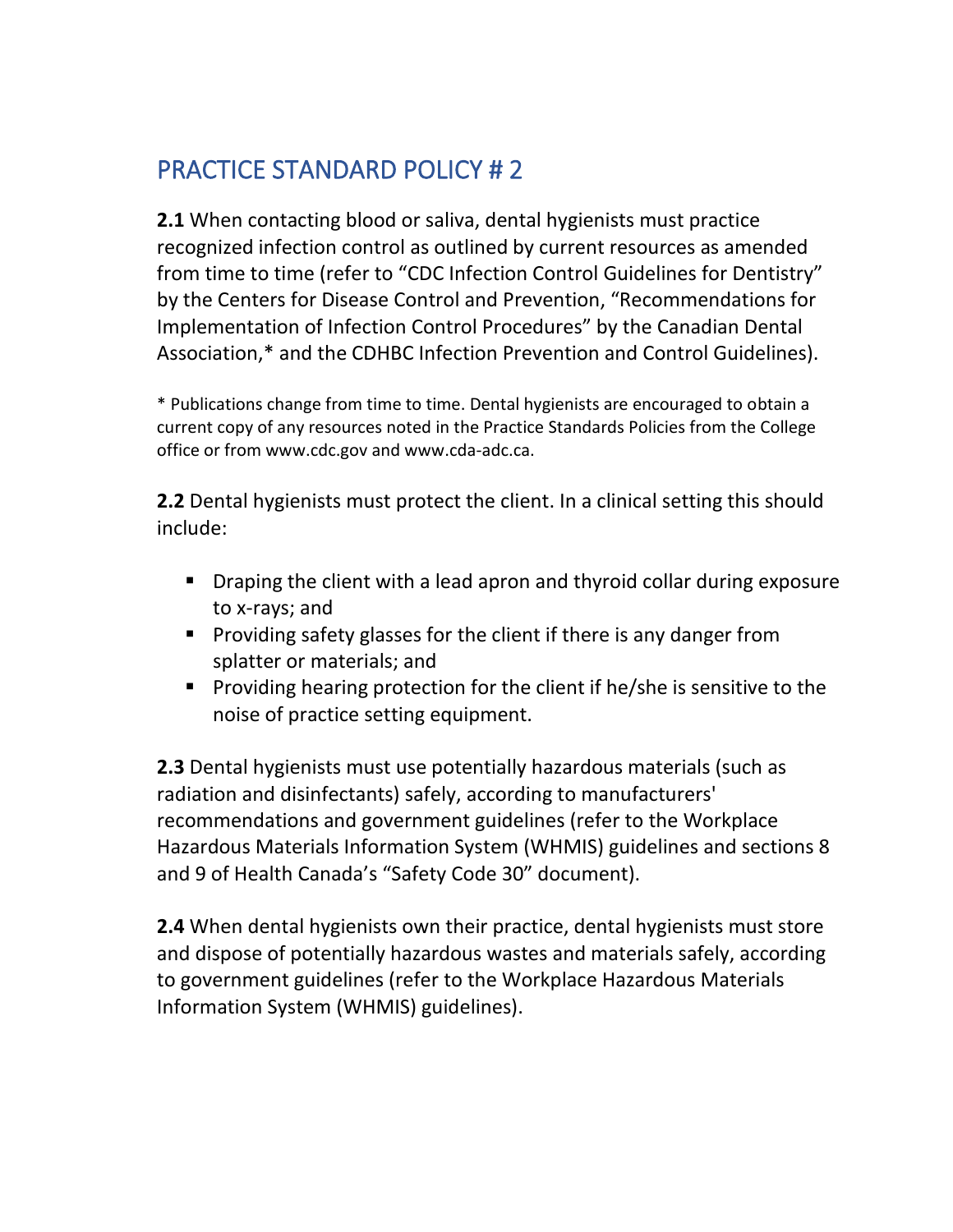## PRACTICE STANDARD POLICY # 2

**2.1** When contacting blood or saliva, dental hygienists must practice recognized infection control as outlined by current resources as amended from time to time (refer to "CDC Infection Control Guidelines for Dentistry" by the Centers for Disease Control and Prevention, "Recommendations for Implementation of Infection Control Procedures" by the Canadian Dental Association,\* and the CDHBC Infection Prevention and Control Guidelines).

\* Publications change from time to time. Dental hygienists are encouraged to obtain a current copy of any resources noted in the Practice Standards Policies from the College office or from www.cdc.gov and www.cda-adc.ca.

**2.2** Dental hygienists must protect the client. In a clinical setting this should include:

- Draping the client with a lead apron and thyroid collar during exposure to x-rays; and
- Providing safety glasses for the client if there is any danger from splatter or materials; and
- Providing hearing protection for the client if he/she is sensitive to the noise of practice setting equipment.

**2.3** Dental hygienists must use potentially hazardous materials (such as radiation and disinfectants) safely, according to manufacturers' recommendations and government guidelines (refer to the Workplace Hazardous Materials Information System (WHMIS) guidelines and sections 8 and 9 of Health Canada's "Safety Code 30" document).

**2.4** When dental hygienists own their practice, dental hygienists must store and dispose of potentially hazardous wastes and materials safely, according to government guidelines (refer to the Workplace Hazardous Materials Information System (WHMIS) guidelines).